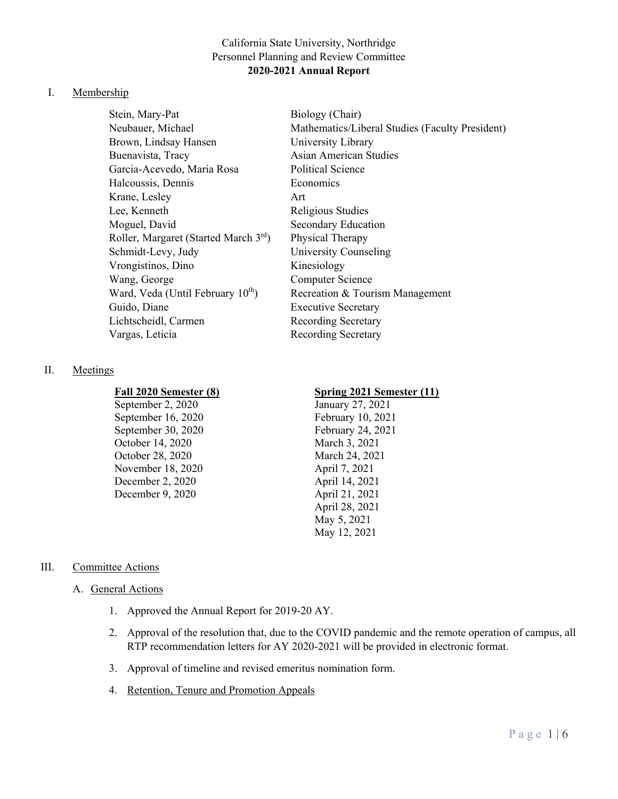# California State University, Northridge Personnel Planning and Review Committee **2020-2021 Annual Report**

### I. Membership

Stein, Mary-Pat Biology (Chair) Brown, Lindsay Hansen University Library Buenavista, Tracy Asian American Studies Garcia-Acevedo, Maria Rosa Political Science Halcoussis, Dennis Economics Krane, Lesley Art Lee, Kenneth Religious Studies Moguel, David Secondary Education Roller, Margaret (Started March  $3<sup>rd</sup>$ ) Physical Therapy Schmidt-Levy, Judy University Counseling Vrongistinos, Dino Kinesiology Wang, George Computer Science Guido, Diane **Executive Secretary** Lichtscheidl, Carmen Recording Secretary Vargas, Leticia Recording Secretary

## II. Meetings

September 2, 2020 January 27, 2021 September 16, 2020 February 10, 2021 September 30, 2020 February 24, 2021 October 14, 2020 March 3, 2021 October 28, 2020 March 24, 2021 November 18, 2020 April 7, 2021 December 2, 2020 April 14, 2021 December 9, 2020 April 21, 2021

Neubauer, Michael Mathematics/Liberal Studies (Faculty President) Ward, Veda (Until February  $10^{th}$ ) Recreation & Tourism Management

## **Fall 2020 Semester (8) Spring 2021 Semester (11)**

April 28, 2021 May 5, 2021 May 12, 2021

# III. Committee Actions

## A. General Actions

- 1. Approved the Annual Report for 2019-20 AY.
- 2. Approval of the resolution that, due to the COVID pandemic and the remote operation of campus, all RTP recommendation letters for AY 2020-2021 will be provided in electronic format.
- 3. Approval of timeline and revised emeritus nomination form.
- 4. Retention, Tenure and Promotion Appeals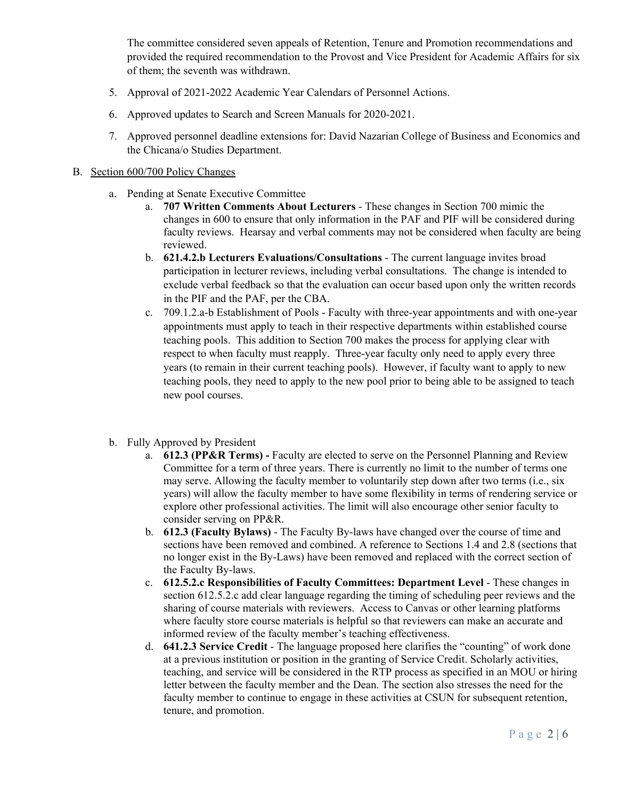The committee considered seven appeals of Retention, Tenure and Promotion recommendations and provided the required recommendation to the Provost and Vice President for Academic Affairs for six of them; the seventh was withdrawn.

- 5. Approval of 2021-2022 Academic Year Calendars of Personnel Actions.
- 6. Approved updates to Search and Screen Manuals for 2020-2021.
- 7. Approved personnel deadline extensions for: David Nazarian College of Business and Economics and the Chicana/o Studies Department.

#### B. Section 600/700 Policy Changes

- a. Pending at Senate Executive Committee
	- a. **707 Written Comments About Lecturers**  These changes in Section 700 mimic the changes in 600 to ensure that only information in the PAF and PIF will be considered during faculty reviews. Hearsay and verbal comments may not be considered when faculty are being reviewed.
	- b. **621.4.2.b Lecturers Evaluations/Consultations** The current language invites broad participation in lecturer reviews, including verbal consultations. The change is intended to exclude verbal feedback so that the evaluation can occur based upon only the written records in the PIF and the PAF, per the CBA.
	- c. 709.1.2.a-b Establishment of Pools Faculty with three-year appointments and with one-year appointments must apply to teach in their respective departments within established course teaching pools. This addition to Section 700 makes the process for applying clear with respect to when faculty must reapply. Three-year faculty only need to apply every three years (to remain in their current teaching pools). However, if faculty want to apply to new teaching pools, they need to apply to the new pool prior to being able to be assigned to teach new pool courses.
- b. Fully Approved by President
	- a. **612.3 (PP&R Terms) -** Faculty are elected to serve on the Personnel Planning and Review Committee for a term of three years. There is currently no limit to the number of terms one may serve. Allowing the faculty member to voluntarily step down after two terms (i.e., six years) will allow the faculty member to have some flexibility in terms of rendering service or explore other professional activities. The limit will also encourage other senior faculty to consider serving on PP&R.
	- b. **612.3 (Faculty Bylaws)** The Faculty By-laws have changed over the course of time and sections have been removed and combined. A reference to Sections 1.4 and 2.8 (sections that no longer exist in the By-Laws) have been removed and replaced with the correct section of the Faculty By-laws.
	- c. **612.5.2.c Responsibilities of Faculty Committees: Department Level**  These changes in section 612.5.2.c add clear language regarding the timing of scheduling peer reviews and the sharing of course materials with reviewers. Access to Canvas or other learning platforms where faculty store course materials is helpful so that reviewers can make an accurate and informed review of the faculty member's teaching effectiveness.
	- d. **641.2.3 Service Credit** The language proposed here clarifies the "counting" of work done at a previous institution or position in the granting of Service Credit. Scholarly activities, teaching, and service will be considered in the RTP process as specified in an MOU or hiring letter between the faculty member and the Dean. The section also stresses the need for the faculty member to continue to engage in these activities at CSUN for subsequent retention, tenure, and promotion.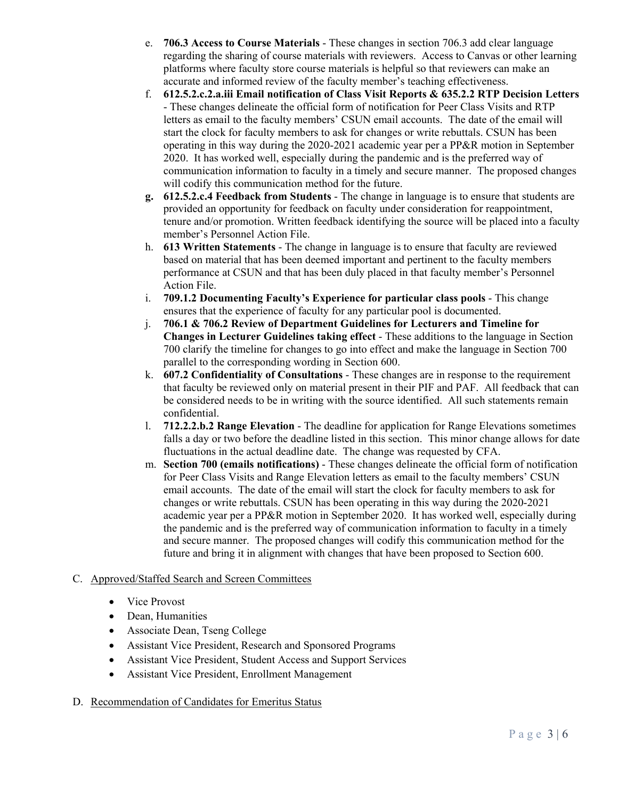- e. **706.3 Access to Course Materials** These changes in section 706.3 add clear language regarding the sharing of course materials with reviewers. Access to Canvas or other learning platforms where faculty store course materials is helpful so that reviewers can make an accurate and informed review of the faculty member's teaching effectiveness.
- f. **612.5.2.c.2.a.iii Email notification of Class Visit Reports & 635.2.2 RTP Decision Letters** - These changes delineate the official form of notification for Peer Class Visits and RTP letters as email to the faculty members' CSUN email accounts. The date of the email will start the clock for faculty members to ask for changes or write rebuttals. CSUN has been operating in this way during the 2020-2021 academic year per a PP&R motion in September 2020. It has worked well, especially during the pandemic and is the preferred way of communication information to faculty in a timely and secure manner. The proposed changes will codify this communication method for the future.
- **g. 612.5.2.c.4 Feedback from Students** The change in language is to ensure that students are provided an opportunity for feedback on faculty under consideration for reappointment, tenure and/or promotion. Written feedback identifying the source will be placed into a faculty member's Personnel Action File.
- h. **613 Written Statements**  The change in language is to ensure that faculty are reviewed based on material that has been deemed important and pertinent to the faculty members performance at CSUN and that has been duly placed in that faculty member's Personnel Action File.
- i. **709.1.2 Documenting Faculty's Experience for particular class pools** This change ensures that the experience of faculty for any particular pool is documented.
- j. **706.1 & 706.2 Review of Department Guidelines for Lecturers and Timeline for Changes in Lecturer Guidelines taking effect** - These additions to the language in Section 700 clarify the timeline for changes to go into effect and make the language in Section 700 parallel to the corresponding wording in Section 600.
- k. **607.2 Confidentiality of Consultations** These changes are in response to the requirement that faculty be reviewed only on material present in their PIF and PAF. All feedback that can be considered needs to be in writing with the source identified. All such statements remain confidential.
- l. **712.2.2.b.2 Range Elevation** The deadline for application for Range Elevations sometimes falls a day or two before the deadline listed in this section. This minor change allows for date fluctuations in the actual deadline date. The change was requested by CFA.
- m. **Section 700 (emails notifications)** These changes delineate the official form of notification for Peer Class Visits and Range Elevation letters as email to the faculty members' CSUN email accounts. The date of the email will start the clock for faculty members to ask for changes or write rebuttals. CSUN has been operating in this way during the 2020-2021 academic year per a PP&R motion in September 2020. It has worked well, especially during the pandemic and is the preferred way of communication information to faculty in a timely and secure manner. The proposed changes will codify this communication method for the future and bring it in alignment with changes that have been proposed to Section 600.

# C. Approved/Staffed Search and Screen Committees

- Vice Provost
- Dean, Humanities
- Associate Dean, Tseng College
- Assistant Vice President, Research and Sponsored Programs
- Assistant Vice President, Student Access and Support Services
- Assistant Vice President, Enrollment Management
- D. Recommendation of Candidates for Emeritus Status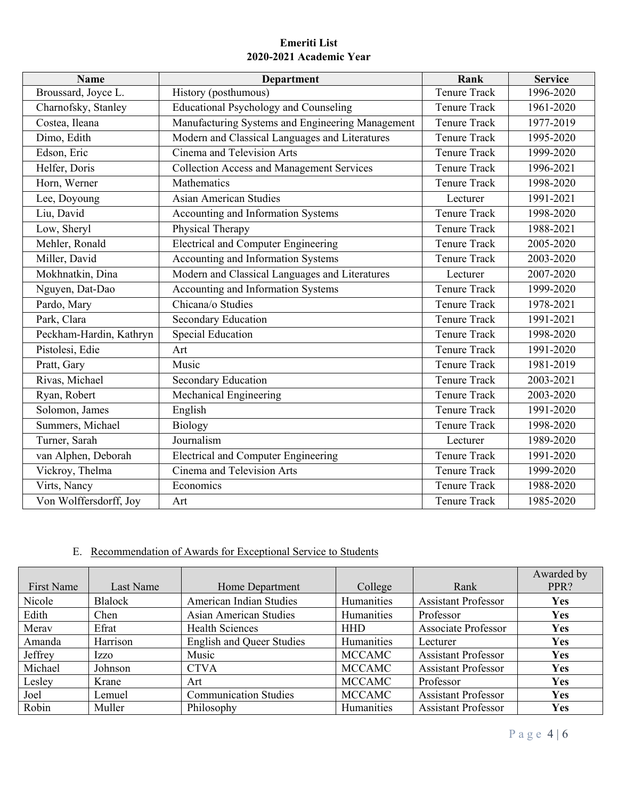# **Emeriti List 2020-2021 Academic Year**

| <b>Name</b>             | <b>Department</b>                                | Rank                | <b>Service</b>           |
|-------------------------|--------------------------------------------------|---------------------|--------------------------|
| Broussard, Joyce L.     | History (posthumous)                             | <b>Tenure Track</b> | 1996-2020                |
| Charnofsky, Stanley     | Educational Psychology and Counseling            | <b>Tenure Track</b> | 1961-2020                |
| Costea, Ileana          | Manufacturing Systems and Engineering Management | <b>Tenure Track</b> | 1977-2019                |
| Dimo, Edith             | Modern and Classical Languages and Literatures   | <b>Tenure Track</b> | 1995-2020                |
| Edson, Eric             | Cinema and Television Arts                       | <b>Tenure Track</b> | 1999-2020                |
| Helfer, Doris           | <b>Collection Access and Management Services</b> | <b>Tenure Track</b> | 1996-2021                |
| Horn, Werner            | Mathematics                                      | <b>Tenure Track</b> | 1998-2020                |
| Lee, Doyoung            | <b>Asian American Studies</b>                    | Lecturer            | 1991-2021                |
| Liu, David              | Accounting and Information Systems               | <b>Tenure Track</b> | 1998-2020                |
| Low, Sheryl             | Physical Therapy                                 | <b>Tenure Track</b> | 1988-2021                |
| Mehler, Ronald          | <b>Electrical and Computer Engineering</b>       | <b>Tenure Track</b> | 2005-2020                |
| Miller, David           | Accounting and Information Systems               | <b>Tenure Track</b> | 2003-2020                |
| Mokhnatkin, Dina        | Modern and Classical Languages and Literatures   | Lecturer            | 2007-2020                |
| Nguyen, Dat-Dao         | Accounting and Information Systems               | <b>Tenure Track</b> | 1999-2020                |
| Pardo, Mary             | Chicana/o Studies                                | <b>Tenure Track</b> | 1978-2021                |
| Park, Clara             | <b>Secondary Education</b>                       | Tenure Track        | 1991-2021                |
| Peckham-Hardin, Kathryn | <b>Special Education</b>                         | <b>Tenure Track</b> | 1998-2020                |
| Pistolesi, Edie         | Art                                              | <b>Tenure Track</b> | 1991-2020                |
| Pratt, Gary             | Music                                            | <b>Tenure Track</b> | 1981-2019                |
| Rivas, Michael          | Secondary Education                              | <b>Tenure Track</b> | $\overline{2003} - 2021$ |
| Ryan, Robert            | Mechanical Engineering                           | <b>Tenure Track</b> | 2003-2020                |
| Solomon, James          | English                                          | <b>Tenure Track</b> | 1991-2020                |
| Summers, Michael        | Biology                                          | Tenure Track        | 1998-2020                |
| Turner, Sarah           | Journalism                                       | Lecturer            | 1989-2020                |
| van Alphen, Deborah     | <b>Electrical and Computer Engineering</b>       | <b>Tenure Track</b> | 1991-2020                |
| Vickroy, Thelma         | Cinema and Television Arts                       | <b>Tenure Track</b> | 1999-2020                |
| Virts, Nancy            | Economics                                        | <b>Tenure Track</b> | 1988-2020                |
| Von Wolffersdorff, Joy  | Art                                              | <b>Tenure Track</b> | 1985-2020                |

# E. Recommendation of Awards for Exceptional Service to Students

| First Name | Last Name   | Home Department                  | College       | Rank                       | Awarded by<br>PPR? |
|------------|-------------|----------------------------------|---------------|----------------------------|--------------------|
| Nicole     | Blalock     | American Indian Studies          | Humanities    | <b>Assistant Professor</b> | <b>Yes</b>         |
| Edith      | Chen        | Asian American Studies           | Humanities    | Professor                  | Yes                |
| Merav      | Efrat       | <b>Health Sciences</b>           | <b>HHD</b>    | <b>Associate Professor</b> | Yes                |
| Amanda     | Harrison    | <b>English and Queer Studies</b> | Humanities    | Lecturer                   | <b>Yes</b>         |
| Jeffrey    | <i>Izzo</i> | Music                            | <b>MCCAMC</b> | <b>Assistant Professor</b> | Yes                |
| Michael    | Johnson     | <b>CTVA</b>                      | <b>MCCAMC</b> | <b>Assistant Professor</b> | Yes                |
| Lesley     | Krane       | Art                              | <b>MCCAMC</b> | Professor                  | Yes                |
| Joel       | Lemuel      | <b>Communication Studies</b>     | <b>MCCAMC</b> | <b>Assistant Professor</b> | <b>Yes</b>         |
| Robin      | Muller      | Philosophy                       | Humanities    | <b>Assistant Professor</b> | Yes                |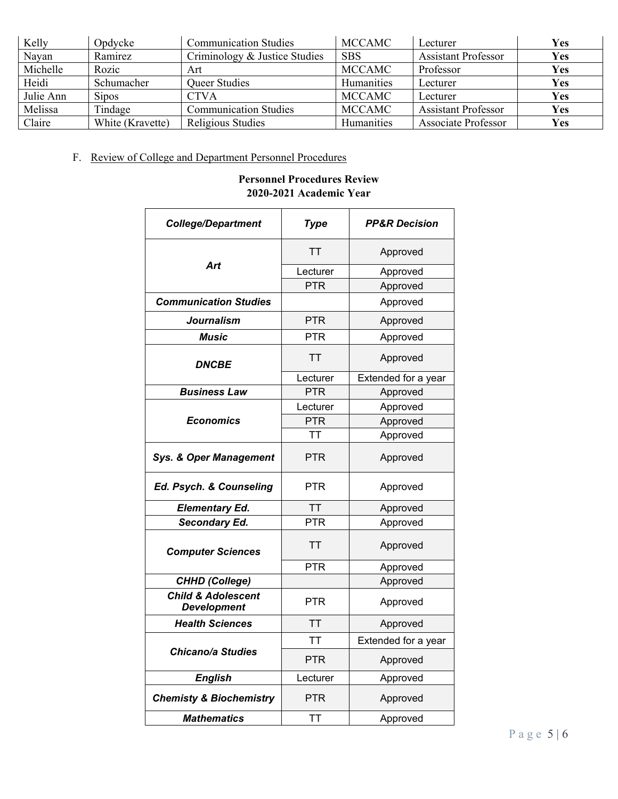| Kelly     | Opdycke          | <b>Communication Studies</b>  | MCCAMC        | Lecturer                   | <b>Yes</b> |
|-----------|------------------|-------------------------------|---------------|----------------------------|------------|
| Nayan     | Ramirez          | Criminology & Justice Studies | <b>SBS</b>    | <b>Assistant Professor</b> | Yes        |
| Michelle  | Rozic            | Art                           | <b>MCCAMC</b> | Professor                  | Yes        |
| Heidi     | Schumacher       | <b>Oueer Studies</b>          | Humanities    | Lecturer                   | Yes        |
| Julie Ann | <b>Sipos</b>     | <b>CTVA</b>                   | <b>MCCAMC</b> | Lecturer                   | Yes        |
| Melissa   | Tindage          | <b>Communication Studies</b>  | <b>MCCAMC</b> | <b>Assistant Professor</b> | Yes        |
| Claire    | White (Kravette) | Religious Studies             | Humanities    | Associate Professor        | Yes        |

# F. Review of College and Department Personnel Procedures

# **Personnel Procedures Review 2020-2021 Academic Year**

| <b>College/Department</b>                           | <b>Type</b>           | <b>PP&amp;R Decision</b> |  |
|-----------------------------------------------------|-----------------------|--------------------------|--|
|                                                     | TT                    | Approved                 |  |
| Art                                                 | Lecturer              | Approved                 |  |
|                                                     | <b>PTR</b>            | Approved                 |  |
| <b>Communication Studies</b>                        |                       | Approved                 |  |
| Journalism                                          | <b>PTR</b>            | Approved                 |  |
| <b>Music</b>                                        | PTR                   | Approved                 |  |
| <i><b>DNCBE</b></i>                                 | TT                    | Approved                 |  |
|                                                     | Lecturer              | Extended for a year      |  |
| <b>Business Law</b>                                 | <b>PTR</b>            | Approved                 |  |
|                                                     | Lecturer              | Approved                 |  |
| <b>Economics</b>                                    | <b>PTR</b>            | Approved                 |  |
|                                                     | TT                    | Approved                 |  |
| <b>Sys. &amp; Oper Management</b>                   | <b>PTR</b>            | Approved                 |  |
| Ed. Psych. & Counseling                             | PTR                   | Approved                 |  |
| <b>Elementary Ed.</b>                               | <b>TT</b>             | Approved                 |  |
| <b>Secondary Ed.</b>                                | <b>PTR</b>            | Approved                 |  |
| <b>Computer Sciences</b>                            | TT                    | Approved                 |  |
|                                                     | <b>PTR</b>            | Approved                 |  |
| <b>CHHD (College)</b>                               |                       | Approved                 |  |
| <b>Child &amp; Adolescent</b><br><b>Development</b> | PTR                   | Approved                 |  |
| <b>Health Sciences</b>                              | TT                    | Approved                 |  |
|                                                     | ТT                    | Extended for a year      |  |
| <b>Chicano/a Studies</b>                            | <b>PTR</b>            | Approved                 |  |
| <b>English</b><br>Lecturer                          |                       | Approved                 |  |
| <b>Chemisty &amp; Biochemistry</b>                  | PTR                   | Approved                 |  |
| <b>Mathematics</b>                                  | <b>TT</b><br>Approved |                          |  |